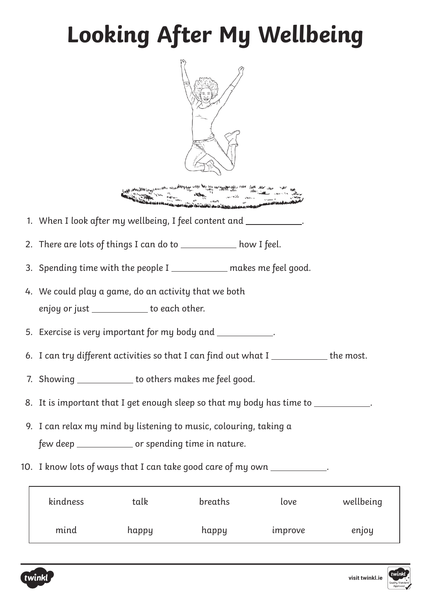## **Looking After My Wellbeing**

| When the adjunction of the way to the way the country of the way of the cold of                                          |
|--------------------------------------------------------------------------------------------------------------------------|
| 1. When I look after my wellbeing, I feel content and ____________                                                       |
| 2. There are lots of things I can do to ___________ how I feel.                                                          |
| 3. Spending time with the people I ___________ makes me feel good.                                                       |
| 4. We could play a game, do an activity that we both<br>enjoy or just ____________ to each other.                        |
| 5. Exercise is very important for my body and ____________.                                                              |
| 6. I can try different activities so that I can find out what I ___________ the most.                                    |
| 7. Showing ____________ to others makes me feel good.                                                                    |
| 8. It is important that I get enough sleep so that my body has time to __________.                                       |
| 9. I can relax my mind by listening to music, colouring, taking a<br>few deep ______________ or spending time in nature. |
| 10. I know lots of ways that I can take good care of my own ____________.                                                |
| kindness<br>breaths<br>wellbeing<br>talk<br>love                                                                         |

mind happy happy improve enjoy